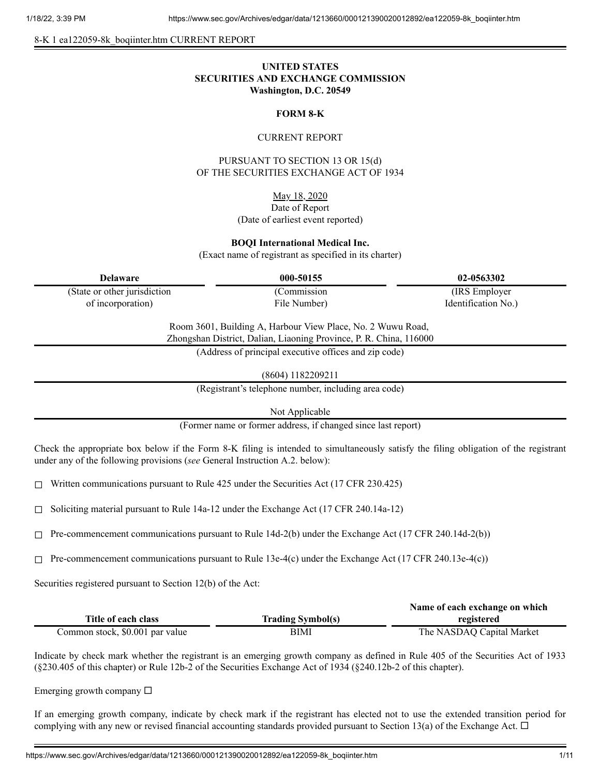8-K 1 ea122059-8k\_boqiinter.htm CURRENT REPORT

## **UNITED STATES SECURITIES AND EXCHANGE COMMISSION Washington, D.C. 20549**

## **FORM 8-K**

## CURRENT REPORT

PURSUANT TO SECTION 13 OR 15(d) OF THE SECURITIES EXCHANGE ACT OF 1934

# May 18, 2020

## Date of Report (Date of earliest event reported)

## **BOQI International Medical Inc.**

(Exact name of registrant as specified in its charter)

(State or other jurisdiction of incorporation)

(Commission

**Delaware 000-50155 02-0563302** (IRS Employer Identification No.)

> Room 3601, Building A, Harbour View Place, No. 2 Wuwu Road, Zhongshan District, Dalian, Liaoning Province, P. R. China, 116000

File Number)

(Address of principal executive offices and zip code)

(8604) 1182209211

(Registrant's telephone number, including area code)

Not Applicable

(Former name or former address, if changed since last report)

Check the appropriate box below if the Form 8-K filing is intended to simultaneously satisfy the filing obligation of the registrant under any of the following provisions (*see* General Instruction A.2. below):

 $\Box$  Written communications pursuant to Rule 425 under the Securities Act (17 CFR 230.425)

 $\Box$  Soliciting material pursuant to Rule 14a-12 under the Exchange Act (17 CFR 240.14a-12)

 $\Box$  Pre-commencement communications pursuant to Rule 14d-2(b) under the Exchange Act (17 CFR 240.14d-2(b))

 $\Box$  Pre-commencement communications pursuant to Rule 13e-4(c) under the Exchange Act (17 CFR 240.13e-4(c))

Securities registered pursuant to Section 12(b) of the Act:

|                                 |                          | Name of each exchange on which |
|---------------------------------|--------------------------|--------------------------------|
| Title of each class             | <b>Trading Symbol(s)</b> | registered                     |
| Common stock, \$0.001 par value | BIMI                     | The NASDAQ Capital Market      |

Indicate by check mark whether the registrant is an emerging growth company as defined in Rule 405 of the Securities Act of 1933 (§230.405 of this chapter) or Rule 12b-2 of the Securities Exchange Act of 1934 (§240.12b-2 of this chapter).

Emerging growth company  $\Box$ 

If an emerging growth company, indicate by check mark if the registrant has elected not to use the extended transition period for complying with any new or revised financial accounting standards provided pursuant to Section 13(a) of the Exchange Act.  $\Box$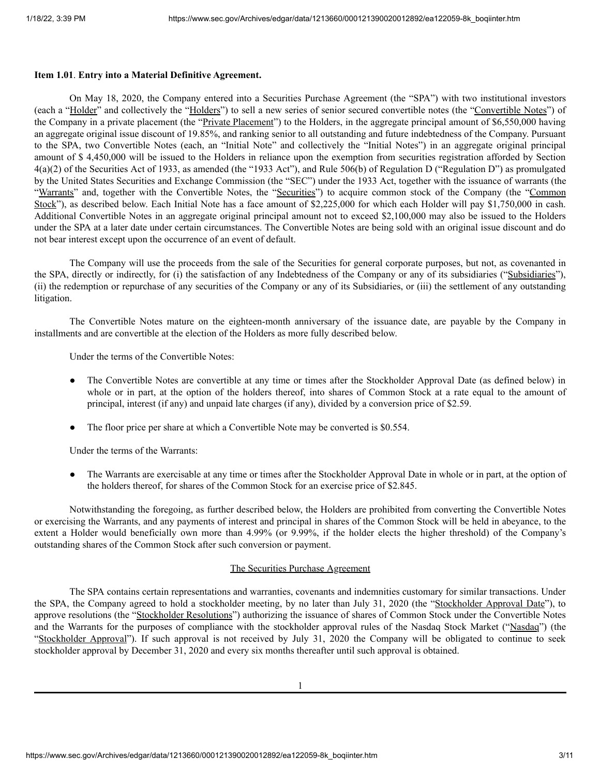### **Item 1.01**. **Entry into a Material Definitive Agreement.**

On May 18, 2020, the Company entered into a Securities Purchase Agreement (the "SPA") with two institutional investors (each a "Holder" and collectively the "Holders") to sell a new series of senior secured convertible notes (the "Convertible Notes") of the Company in a private placement (the "Private Placement") to the Holders, in the aggregate principal amount of \$6,550,000 having an aggregate original issue discount of 19.85%, and ranking senior to all outstanding and future indebtedness of the Company. Pursuant to the SPA, two Convertible Notes (each, an "Initial Note" and collectively the "Initial Notes") in an aggregate original principal amount of \$ 4,450,000 will be issued to the Holders in reliance upon the exemption from securities registration afforded by Section 4(a)(2) of the Securities Act of 1933, as amended (the "1933 Act"), and Rule 506(b) of Regulation D ("Regulation D") as promulgated by the United States Securities and Exchange Commission (the "SEC") under the 1933 Act, together with the issuance of warrants (the "Warrants" and, together with the Convertible Notes, the "Securities") to acquire common stock of the Company (the "Common Stock"), as described below. Each Initial Note has a face amount of \$2,225,000 for which each Holder will pay \$1,750,000 in cash. Additional Convertible Notes in an aggregate original principal amount not to exceed \$2,100,000 may also be issued to the Holders under the SPA at a later date under certain circumstances. The Convertible Notes are being sold with an original issue discount and do not bear interest except upon the occurrence of an event of default.

The Company will use the proceeds from the sale of the Securities for general corporate purposes, but not, as covenanted in the SPA, directly or indirectly, for (i) the satisfaction of any Indebtedness of the Company or any of its subsidiaries ("Subsidiaries"), (ii) the redemption or repurchase of any securities of the Company or any of its Subsidiaries, or (iii) the settlement of any outstanding litigation.

The Convertible Notes mature on the eighteen-month anniversary of the issuance date, are payable by the Company in installments and are convertible at the election of the Holders as more fully described below.

Under the terms of the Convertible Notes:

- The Convertible Notes are convertible at any time or times after the Stockholder Approval Date (as defined below) in whole or in part, at the option of the holders thereof, into shares of Common Stock at a rate equal to the amount of principal, interest (if any) and unpaid late charges (if any), divided by a conversion price of \$2.59.
- The floor price per share at which a Convertible Note may be converted is \$0.554.

Under the terms of the Warrants:

● The Warrants are exercisable at any time or times after the Stockholder Approval Date in whole or in part, at the option of the holders thereof, for shares of the Common Stock for an exercise price of \$2.845.

Notwithstanding the foregoing, as further described below, the Holders are prohibited from converting the Convertible Notes or exercising the Warrants, and any payments of interest and principal in shares of the Common Stock will be held in abeyance, to the extent a Holder would beneficially own more than 4.99% (or 9.99%, if the holder elects the higher threshold) of the Company's outstanding shares of the Common Stock after such conversion or payment.

### The Securities Purchase Agreement

The SPA contains certain representations and warranties, covenants and indemnities customary for similar transactions. Under the SPA, the Company agreed to hold a stockholder meeting, by no later than July 31, 2020 (the "Stockholder Approval Date"), to approve resolutions (the "Stockholder Resolutions") authorizing the issuance of shares of Common Stock under the Convertible Notes and the Warrants for the purposes of compliance with the stockholder approval rules of the Nasdaq Stock Market ("Nasdaq") (the "Stockholder Approval"). If such approval is not received by July 31, 2020 the Company will be obligated to continue to seek stockholder approval by December 31, 2020 and every six months thereafter until such approval is obtained.

1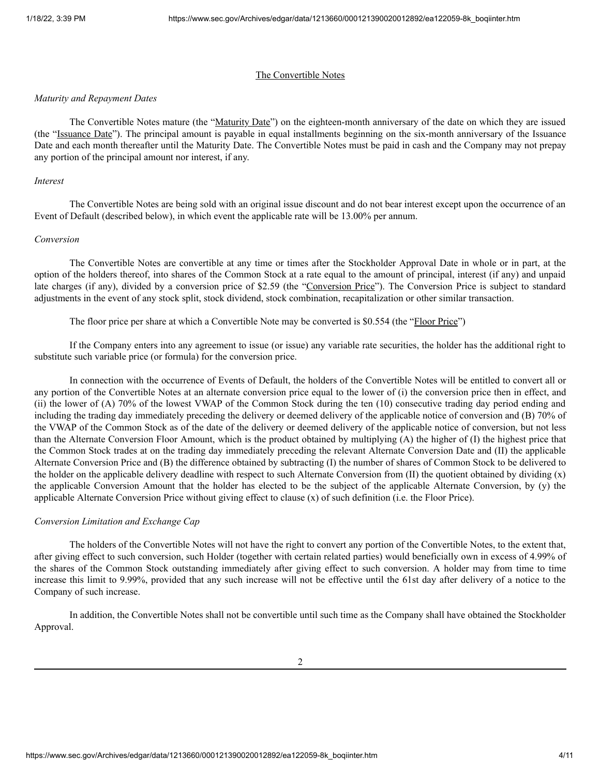## The Convertible Notes

### *Maturity and Repayment Dates*

The Convertible Notes mature (the "Maturity Date") on the eighteen-month anniversary of the date on which they are issued (the "Issuance Date"). The principal amount is payable in equal installments beginning on the six-month anniversary of the Issuance Date and each month thereafter until the Maturity Date. The Convertible Notes must be paid in cash and the Company may not prepay any portion of the principal amount nor interest, if any.

#### *Interest*

The Convertible Notes are being sold with an original issue discount and do not bear interest except upon the occurrence of an Event of Default (described below), in which event the applicable rate will be 13.00% per annum.

### *Conversion*

The Convertible Notes are convertible at any time or times after the Stockholder Approval Date in whole or in part, at the option of the holders thereof, into shares of the Common Stock at a rate equal to the amount of principal, interest (if any) and unpaid late charges (if any), divided by a conversion price of \$2.59 (the "Conversion Price"). The Conversion Price is subject to standard adjustments in the event of any stock split, stock dividend, stock combination, recapitalization or other similar transaction.

The floor price per share at which a Convertible Note may be converted is \$0.554 (the "Floor Price")

If the Company enters into any agreement to issue (or issue) any variable rate securities, the holder has the additional right to substitute such variable price (or formula) for the conversion price.

In connection with the occurrence of Events of Default, the holders of the Convertible Notes will be entitled to convert all or any portion of the Convertible Notes at an alternate conversion price equal to the lower of (i) the conversion price then in effect, and (ii) the lower of (A) 70% of the lowest VWAP of the Common Stock during the ten (10) consecutive trading day period ending and including the trading day immediately preceding the delivery or deemed delivery of the applicable notice of conversion and (B) 70% of the VWAP of the Common Stock as of the date of the delivery or deemed delivery of the applicable notice of conversion, but not less than the Alternate Conversion Floor Amount, which is the product obtained by multiplying (A) the higher of (I) the highest price that the Common Stock trades at on the trading day immediately preceding the relevant Alternate Conversion Date and (II) the applicable Alternate Conversion Price and (B) the difference obtained by subtracting (I) the number of shares of Common Stock to be delivered to the holder on the applicable delivery deadline with respect to such Alternate Conversion from (II) the quotient obtained by dividing (x) the applicable Conversion Amount that the holder has elected to be the subject of the applicable Alternate Conversion, by (y) the applicable Alternate Conversion Price without giving effect to clause (x) of such definition (i.e. the Floor Price).

#### *Conversion Limitation and Exchange Cap*

The holders of the Convertible Notes will not have the right to convert any portion of the Convertible Notes, to the extent that, after giving effect to such conversion, such Holder (together with certain related parties) would beneficially own in excess of 4.99% of the shares of the Common Stock outstanding immediately after giving effect to such conversion. A holder may from time to time increase this limit to 9.99%, provided that any such increase will not be effective until the 61st day after delivery of a notice to the Company of such increase.

In addition, the Convertible Notes shall not be convertible until such time as the Company shall have obtained the Stockholder Approval.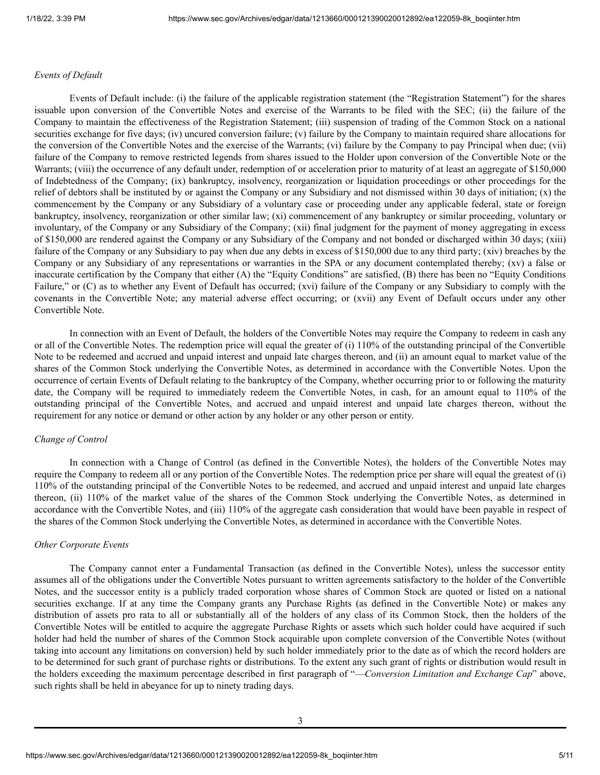## *Events of Default*

Events of Default include: (i) the failure of the applicable registration statement (the "Registration Statement") for the shares issuable upon conversion of the Convertible Notes and exercise of the Warrants to be filed with the SEC; (ii) the failure of the Company to maintain the effectiveness of the Registration Statement; (iii) suspension of trading of the Common Stock on a national securities exchange for five days; (iv) uncured conversion failure; (v) failure by the Company to maintain required share allocations for the conversion of the Convertible Notes and the exercise of the Warrants; (vi) failure by the Company to pay Principal when due; (vii) failure of the Company to remove restricted legends from shares issued to the Holder upon conversion of the Convertible Note or the Warrants; (viii) the occurrence of any default under, redemption of or acceleration prior to maturity of at least an aggregate of \$150,000 of Indebtedness of the Company; (ix) bankruptcy, insolvency, reorganization or liquidation proceedings or other proceedings for the relief of debtors shall be instituted by or against the Company or any Subsidiary and not dismissed within 30 days of initiation; (x) the commencement by the Company or any Subsidiary of a voluntary case or proceeding under any applicable federal, state or foreign bankruptcy, insolvency, reorganization or other similar law; (xi) commencement of any bankruptcy or similar proceeding, voluntary or involuntary, of the Company or any Subsidiary of the Company; (xii) final judgment for the payment of money aggregating in excess of \$150,000 are rendered against the Company or any Subsidiary of the Company and not bonded or discharged within 30 days; (xiii) failure of the Company or any Subsidiary to pay when due any debts in excess of \$150,000 due to any third party; (xiv) breaches by the Company or any Subsidiary of any representations or warranties in the SPA or any document contemplated thereby; (xv) a false or inaccurate certification by the Company that either (A) the "Equity Conditions" are satisfied, (B) there has been no "Equity Conditions Failure," or (C) as to whether any Event of Default has occurred; (xvi) failure of the Company or any Subsidiary to comply with the covenants in the Convertible Note; any material adverse effect occurring; or (xvii) any Event of Default occurs under any other Convertible Note.

In connection with an Event of Default, the holders of the Convertible Notes may require the Company to redeem in cash any or all of the Convertible Notes. The redemption price will equal the greater of (i) 110% of the outstanding principal of the Convertible Note to be redeemed and accrued and unpaid interest and unpaid late charges thereon, and (ii) an amount equal to market value of the shares of the Common Stock underlying the Convertible Notes, as determined in accordance with the Convertible Notes. Upon the occurrence of certain Events of Default relating to the bankruptcy of the Company, whether occurring prior to or following the maturity date, the Company will be required to immediately redeem the Convertible Notes, in cash, for an amount equal to 110% of the outstanding principal of the Convertible Notes, and accrued and unpaid interest and unpaid late charges thereon, without the requirement for any notice or demand or other action by any holder or any other person or entity.

## *Change of Control*

In connection with a Change of Control (as defined in the Convertible Notes), the holders of the Convertible Notes may require the Company to redeem all or any portion of the Convertible Notes. The redemption price per share will equal the greatest of (i) 110% of the outstanding principal of the Convertible Notes to be redeemed, and accrued and unpaid interest and unpaid late charges thereon, (ii) 110% of the market value of the shares of the Common Stock underlying the Convertible Notes, as determined in accordance with the Convertible Notes, and (iii) 110% of the aggregate cash consideration that would have been payable in respect of the shares of the Common Stock underlying the Convertible Notes, as determined in accordance with the Convertible Notes.

### *Other Corporate Events*

The Company cannot enter a Fundamental Transaction (as defined in the Convertible Notes), unless the successor entity assumes all of the obligations under the Convertible Notes pursuant to written agreements satisfactory to the holder of the Convertible Notes, and the successor entity is a publicly traded corporation whose shares of Common Stock are quoted or listed on a national securities exchange. If at any time the Company grants any Purchase Rights (as defined in the Convertible Note) or makes any distribution of assets pro rata to all or substantially all of the holders of any class of its Common Stock, then the holders of the Convertible Notes will be entitled to acquire the aggregate Purchase Rights or assets which such holder could have acquired if such holder had held the number of shares of the Common Stock acquirable upon complete conversion of the Convertible Notes (without taking into account any limitations on conversion) held by such holder immediately prior to the date as of which the record holders are to be determined for such grant of purchase rights or distributions. To the extent any such grant of rights or distribution would result in the holders exceeding the maximum percentage described in first paragraph of "—*Conversion Limitation and Exchange Cap*" above, such rights shall be held in abeyance for up to ninety trading days.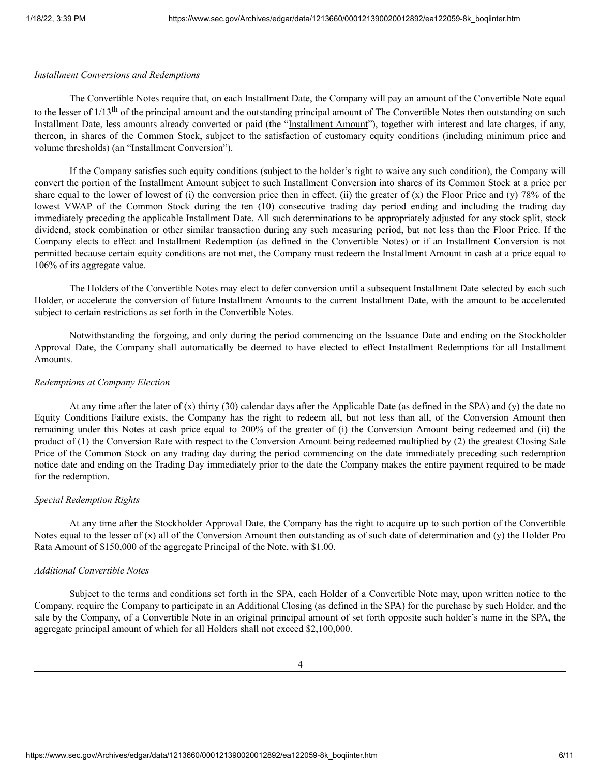### *Installment Conversions and Redemptions*

The Convertible Notes require that, on each Installment Date, the Company will pay an amount of the Convertible Note equal to the lesser of 1/13<sup>th</sup> of the principal amount and the outstanding principal amount of The Convertible Notes then outstanding on such Installment Date, less amounts already converted or paid (the "Installment Amount"), together with interest and late charges, if any, thereon, in shares of the Common Stock, subject to the satisfaction of customary equity conditions (including minimum price and volume thresholds) (an "Installment Conversion").

If the Company satisfies such equity conditions (subject to the holder's right to waive any such condition), the Company will convert the portion of the Installment Amount subject to such Installment Conversion into shares of its Common Stock at a price per share equal to the lower of lowest of (i) the conversion price then in effect, (ii) the greater of (x) the Floor Price and (y) 78% of the lowest VWAP of the Common Stock during the ten (10) consecutive trading day period ending and including the trading day immediately preceding the applicable Installment Date. All such determinations to be appropriately adjusted for any stock split, stock dividend, stock combination or other similar transaction during any such measuring period, but not less than the Floor Price. If the Company elects to effect and Installment Redemption (as defined in the Convertible Notes) or if an Installment Conversion is not permitted because certain equity conditions are not met, the Company must redeem the Installment Amount in cash at a price equal to 106% of its aggregate value.

The Holders of the Convertible Notes may elect to defer conversion until a subsequent Installment Date selected by each such Holder, or accelerate the conversion of future Installment Amounts to the current Installment Date, with the amount to be accelerated subject to certain restrictions as set forth in the Convertible Notes.

Notwithstanding the forgoing, and only during the period commencing on the Issuance Date and ending on the Stockholder Approval Date, the Company shall automatically be deemed to have elected to effect Installment Redemptions for all Installment Amounts.

## *Redemptions at Company Election*

At any time after the later of (x) thirty (30) calendar days after the Applicable Date (as defined in the SPA) and (y) the date no Equity Conditions Failure exists, the Company has the right to redeem all, but not less than all, of the Conversion Amount then remaining under this Notes at cash price equal to 200% of the greater of (i) the Conversion Amount being redeemed and (ii) the product of (1) the Conversion Rate with respect to the Conversion Amount being redeemed multiplied by (2) the greatest Closing Sale Price of the Common Stock on any trading day during the period commencing on the date immediately preceding such redemption notice date and ending on the Trading Day immediately prior to the date the Company makes the entire payment required to be made for the redemption.

### *Special Redemption Rights*

At any time after the Stockholder Approval Date, the Company has the right to acquire up to such portion of the Convertible Notes equal to the lesser of  $(x)$  all of the Conversion Amount then outstanding as of such date of determination and  $(y)$  the Holder Pro Rata Amount of \$150,000 of the aggregate Principal of the Note, with \$1.00.

## *Additional Convertible Notes*

Subject to the terms and conditions set forth in the SPA, each Holder of a Convertible Note may, upon written notice to the Company, require the Company to participate in an Additional Closing (as defined in the SPA) for the purchase by such Holder, and the sale by the Company, of a Convertible Note in an original principal amount of set forth opposite such holder's name in the SPA, the aggregate principal amount of which for all Holders shall not exceed \$2,100,000.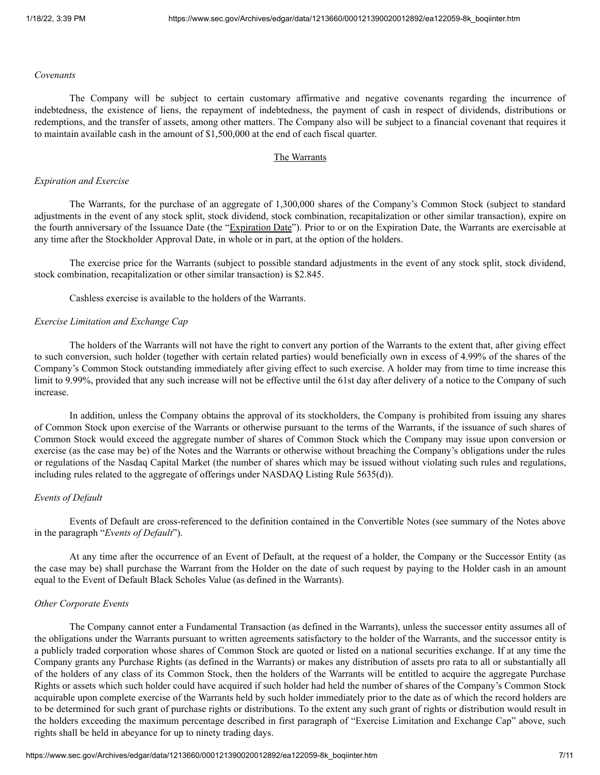#### *Covenants*

The Company will be subject to certain customary affirmative and negative covenants regarding the incurrence of indebtedness, the existence of liens, the repayment of indebtedness, the payment of cash in respect of dividends, distributions or redemptions, and the transfer of assets, among other matters. The Company also will be subject to a financial covenant that requires it to maintain available cash in the amount of \$1,500,000 at the end of each fiscal quarter.

### The Warrants

### *Expiration and Exercise*

The Warrants, for the purchase of an aggregate of 1,300,000 shares of the Company's Common Stock (subject to standard adjustments in the event of any stock split, stock dividend, stock combination, recapitalization or other similar transaction), expire on the fourth anniversary of the Issuance Date (the "Expiration Date"). Prior to or on the Expiration Date, the Warrants are exercisable at any time after the Stockholder Approval Date, in whole or in part, at the option of the holders.

The exercise price for the Warrants (subject to possible standard adjustments in the event of any stock split, stock dividend, stock combination, recapitalization or other similar transaction) is \$2.845.

Cashless exercise is available to the holders of the Warrants.

### *Exercise Limitation and Exchange Cap*

The holders of the Warrants will not have the right to convert any portion of the Warrants to the extent that, after giving effect to such conversion, such holder (together with certain related parties) would beneficially own in excess of 4.99% of the shares of the Company's Common Stock outstanding immediately after giving effect to such exercise. A holder may from time to time increase this limit to 9.99%, provided that any such increase will not be effective until the 61st day after delivery of a notice to the Company of such increase.

In addition, unless the Company obtains the approval of its stockholders, the Company is prohibited from issuing any shares of Common Stock upon exercise of the Warrants or otherwise pursuant to the terms of the Warrants, if the issuance of such shares of Common Stock would exceed the aggregate number of shares of Common Stock which the Company may issue upon conversion or exercise (as the case may be) of the Notes and the Warrants or otherwise without breaching the Company's obligations under the rules or regulations of the Nasdaq Capital Market (the number of shares which may be issued without violating such rules and regulations, including rules related to the aggregate of offerings under NASDAQ Listing Rule 5635(d)).

## *Events of Default*

Events of Default are cross-referenced to the definition contained in the Convertible Notes (see summary of the Notes above in the paragraph "*Events of Default*").

At any time after the occurrence of an Event of Default, at the request of a holder, the Company or the Successor Entity (as the case may be) shall purchase the Warrant from the Holder on the date of such request by paying to the Holder cash in an amount equal to the Event of Default Black Scholes Value (as defined in the Warrants).

### *Other Corporate Events*

The Company cannot enter a Fundamental Transaction (as defined in the Warrants), unless the successor entity assumes all of the obligations under the Warrants pursuant to written agreements satisfactory to the holder of the Warrants, and the successor entity is a publicly traded corporation whose shares of Common Stock are quoted or listed on a national securities exchange. If at any time the Company grants any Purchase Rights (as defined in the Warrants) or makes any distribution of assets pro rata to all or substantially all of the holders of any class of its Common Stock, then the holders of the Warrants will be entitled to acquire the aggregate Purchase Rights or assets which such holder could have acquired if such holder had held the number of shares of the Company's Common Stock acquirable upon complete exercise of the Warrants held by such holder immediately prior to the date as of which the record holders are to be determined for such grant of purchase rights or distributions. To the extent any such grant of rights or distribution would result in the holders exceeding the maximum percentage described in first paragraph of "Exercise Limitation and Exchange Cap" above, such rights shall be held in abeyance for up to ninety trading days.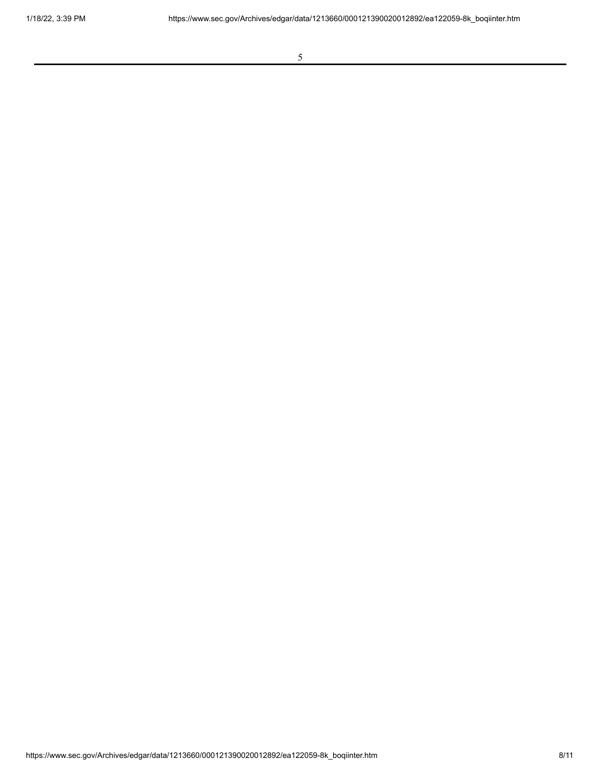5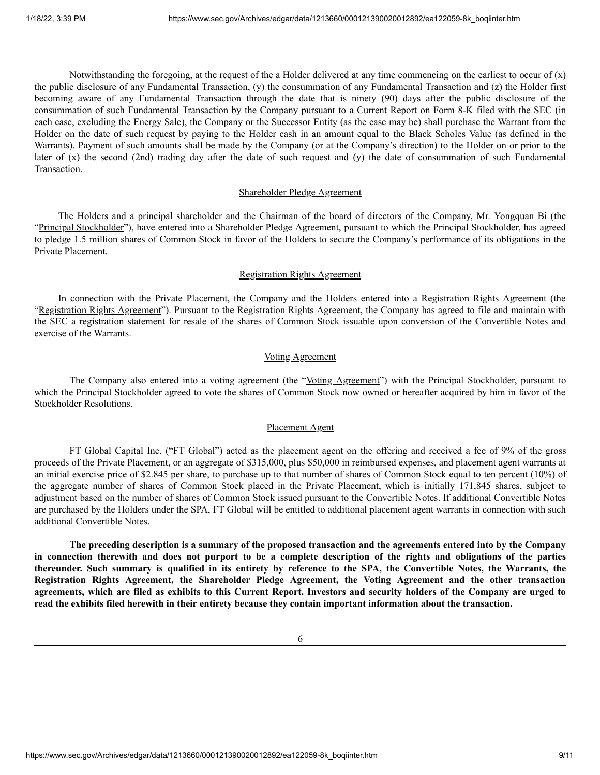Notwithstanding the foregoing, at the request of the a Holder delivered at any time commencing on the earliest to occur of  $(x)$ the public disclosure of any Fundamental Transaction, (y) the consummation of any Fundamental Transaction and (z) the Holder first becoming aware of any Fundamental Transaction through the date that is ninety (90) days after the public disclosure of the consummation of such Fundamental Transaction by the Company pursuant to a Current Report on Form 8-K filed with the SEC (in each case, excluding the Energy Sale), the Company or the Successor Entity (as the case may be) shall purchase the Warrant from the Holder on the date of such request by paying to the Holder cash in an amount equal to the Black Scholes Value (as defined in the Warrants). Payment of such amounts shall be made by the Company (or at the Company's direction) to the Holder on or prior to the later of (x) the second (2nd) trading day after the date of such request and (y) the date of consummation of such Fundamental Transaction.

## Shareholder Pledge Agreement

The Holders and a principal shareholder and the Chairman of the board of directors of the Company, Mr. Yongquan Bi (the "Principal Stockholder"), have entered into a Shareholder Pledge Agreement, pursuant to which the Principal Stockholder, has agreed to pledge 1.5 million shares of Common Stock in favor of the Holders to secure the Company's performance of its obligations in the Private Placement.

## Registration Rights Agreement

In connection with the Private Placement, the Company and the Holders entered into a Registration Rights Agreement (the "Registration Rights Agreement"). Pursuant to the Registration Rights Agreement, the Company has agreed to file and maintain with the SEC a registration statement for resale of the shares of Common Stock issuable upon conversion of the Convertible Notes and exercise of the Warrants.

### Voting Agreement

The Company also entered into a voting agreement (the "Voting Agreement") with the Principal Stockholder, pursuant to which the Principal Stockholder agreed to vote the shares of Common Stock now owned or hereafter acquired by him in favor of the Stockholder Resolutions.

## Placement Agent

FT Global Capital Inc. ("FT Global") acted as the placement agent on the offering and received a fee of 9% of the gross proceeds of the Private Placement, or an aggregate of \$315,000, plus \$50,000 in reimbursed expenses, and placement agent warrants at an initial exercise price of \$2.845 per share, to purchase up to that number of shares of Common Stock equal to ten percent (10%) of the aggregate number of shares of Common Stock placed in the Private Placement, which is initially 171,845 shares, subject to adjustment based on the number of shares of Common Stock issued pursuant to the Convertible Notes. If additional Convertible Notes are purchased by the Holders under the SPA, FT Global will be entitled to additional placement agent warrants in connection with such additional Convertible Notes.

The preceding description is a summary of the proposed transaction and the agreements entered into by the Company in connection therewith and does not purport to be a complete description of the rights and obligations of the parties thereunder. Such summary is qualified in its entirety by reference to the SPA, the Convertible Notes, the Warrants, the **Registration Rights Agreement, the Shareholder Pledge Agreement, the Voting Agreement and the other transaction** agreements, which are filed as exhibits to this Current Report. Investors and security holders of the Company are urged to read the exhibits filed herewith in their entirety because they contain important information about the transaction.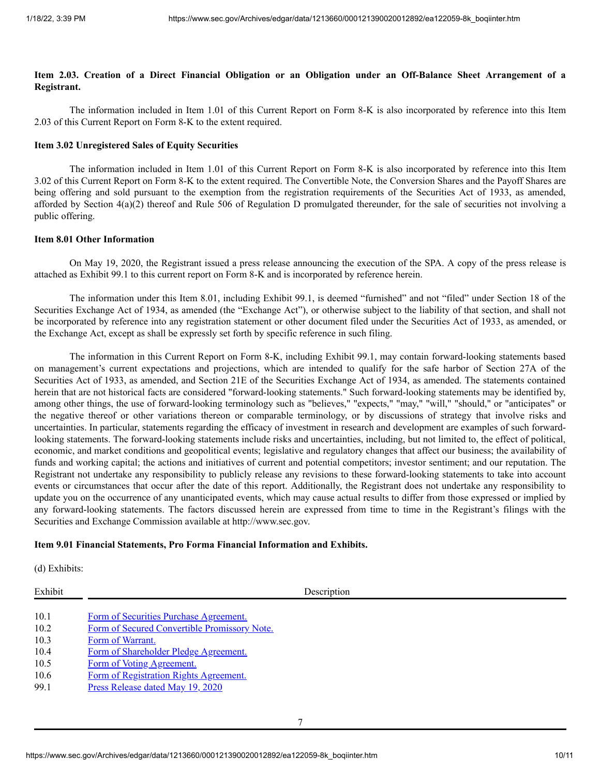## Item 2.03. Creation of a Direct Financial Obligation or an Obligation under an Off-Balance Sheet Arrangement of a **Registrant.**

The information included in Item 1.01 of this Current Report on Form 8-K is also incorporated by reference into this Item 2.03 of this Current Report on Form 8-K to the extent required.

## **Item 3.02 Unregistered Sales of Equity Securities**

The information included in Item 1.01 of this Current Report on Form 8-K is also incorporated by reference into this Item 3.02 of this Current Report on Form 8-K to the extent required. The Convertible Note, the Conversion Shares and the Payoff Shares are being offering and sold pursuant to the exemption from the registration requirements of the Securities Act of 1933, as amended, afforded by Section  $4(a)(2)$  thereof and Rule 506 of Regulation D promulgated thereunder, for the sale of securities not involving a public offering.

## **Item 8.01 Other Information**

On May 19, 2020, the Registrant issued a press release announcing the execution of the SPA. A copy of the press release is attached as Exhibit 99.1 to this current report on Form 8-K and is incorporated by reference herein.

The information under this Item 8.01, including Exhibit 99.1, is deemed "furnished" and not "filed" under Section 18 of the Securities Exchange Act of 1934, as amended (the "Exchange Act"), or otherwise subject to the liability of that section, and shall not be incorporated by reference into any registration statement or other document filed under the Securities Act of 1933, as amended, or the Exchange Act, except as shall be expressly set forth by specific reference in such filing.

The information in this Current Report on Form 8-K, including Exhibit 99.1, may contain forward-looking statements based on management's current expectations and projections, which are intended to qualify for the safe harbor of Section 27A of the Securities Act of 1933, as amended, and Section 21E of the Securities Exchange Act of 1934, as amended. The statements contained herein that are not historical facts are considered "forward-looking statements." Such forward-looking statements may be identified by, among other things, the use of forward-looking terminology such as "believes," "expects," "may," "will," "should," or "anticipates" or the negative thereof or other variations thereon or comparable terminology, or by discussions of strategy that involve risks and uncertainties. In particular, statements regarding the efficacy of investment in research and development are examples of such forwardlooking statements. The forward-looking statements include risks and uncertainties, including, but not limited to, the effect of political, economic, and market conditions and geopolitical events; legislative and regulatory changes that affect our business; the availability of funds and working capital; the actions and initiatives of current and potential competitors; investor sentiment; and our reputation. The Registrant not undertake any responsibility to publicly release any revisions to these forward-looking statements to take into account events or circumstances that occur after the date of this report. Additionally, the Registrant does not undertake any responsibility to update you on the occurrence of any unanticipated events, which may cause actual results to differ from those expressed or implied by any forward-looking statements. The factors discussed herein are expressed from time to time in the Registrant's filings with the Securities and Exchange Commission available at http://www.sec.gov.

## **Item 9.01 Financial Statements, Pro Forma Financial Information and Exhibits.**

(d) Exhibits:

| Exhibit | Description                                  |  |
|---------|----------------------------------------------|--|
|         |                                              |  |
| 10.1    | Form of Securities Purchase Agreement.       |  |
| 10.2    | Form of Secured Convertible Promissory Note. |  |
| 10.3    | Form of Warrant.                             |  |
| 10.4    | Form of Shareholder Pledge Agreement.        |  |
| 10.5    | Form of Voting Agreement.                    |  |
| 10.6    | Form of Registration Rights Agreement.       |  |
| 99.1    | Press Release dated May 19, 2020             |  |
|         |                                              |  |
|         |                                              |  |